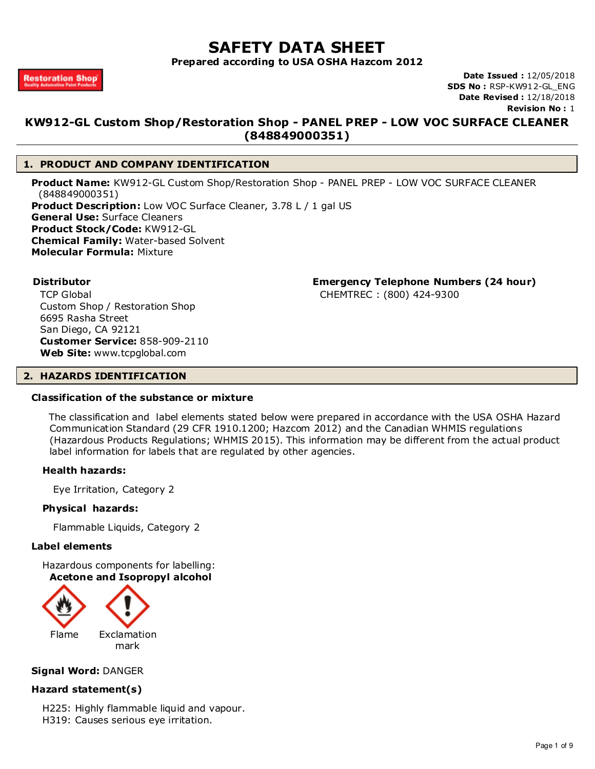# **SAFETY DATA SHEET**

**Prepared according to USA OSHA Hazcom 2012**

**Date Issued :** 12/05/2018 **SDS No :** RSP-KW912-GL\_ENG **Date Revised :** 12/18/2018 **Revision No :** 1

# **KW912-GL Custom Shop/Restoration Shop - PANEL PREP - LOW VOC SURFACE CLEANER (848849000351)**

# **1. PRODUCT AND COMPANY IDENTIFICATION**

**Product Name:** KW912-GL Custom Shop/Restoration Shop - PANEL PREP - LOW VOC SURFACE CLEANER (848849000351) **Product Description:** Low VOC Surface Cleaner, 3.78 L / 1 gal US **General Use:** Surface Cleaners **Product Stock/Code:** KW912-GL **Chemical Family:** Water-based Solvent **Molecular Formula:** Mixture

**Distributor Emergency Telephone Numbers (24 hour)**

CHEMTREC : (800) 424-9300

TCP Global Custom Shop / Restoration Shop 6695 Rasha Street San Diego, CA 92121 **Customer Service:** 858-909-2110 **Web Site:** www.tcpglobal.com

# **2. HAZARDS IDENTIFICATION**

## **Classification of the substance or mixture**

 The classification and label elements stated below were prepared in accordance with the USA OSHA Hazard Communication Standard (29 CFR 1910.1200; Hazcom 2012) and the Canadian WHMIS regulations (Hazardous Products Regulations; WHMIS 2015). This information may be different from the actual product label information for labels that are regulated by other agencies.

# **Health hazards:**

Eye Irritation, Category 2

## **Physical hazards:**

Flammable Liquids, Category 2

## **Label elements**

Hazardous components for labelling: **Acetone and Isopropyl alcohol**



# **Signal Word:** DANGER

# **Hazard statement(s)**

- H225: Highly flammable liquid and vapour.
- H319: Causes serious eye irritation.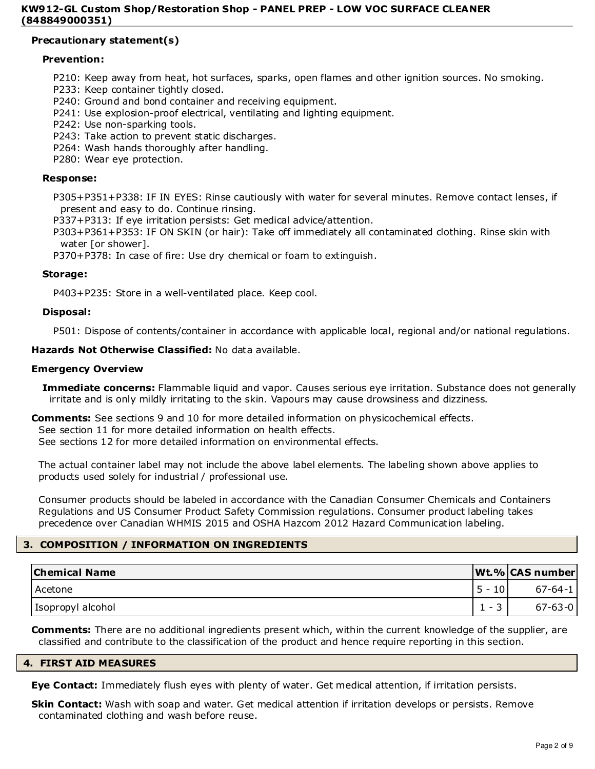# **Precautionary statement(s)**

# **Prevention:**

P210: Keep away from heat, hot surfaces, sparks, open flames and other ignition sources. No smoking.

- P233: Keep container tightly closed.
- P240: Ground and bond container and receiving equipment.
- P241: Use explosion-proof electrical, ventilating and lighting equipment.
- P242: Use non-sparking tools.
- P243: Take action to prevent static discharges.
- P264: Wash hands thoroughly after handling.
- P280: Wear eye protection.

#### **Response:**

P305+P351+P338: IF IN EYES: Rinse cautiously with water for several minutes. Remove contact lenses, if present and easy to do. Continue rinsing.

- P337+P313: If eye irritation persists: Get medical advice/attention.
- P303+P361+P353: IF ON SKIN (or hair): Take off immediately all contaminated clothing. Rinse skin with water [or shower].

P370+P378: In case of fire: Use dry chemical or foam to extinguish.

## **Storage:**

P403+P235: Store in a well-ventilated place. Keep cool.

#### **Disposal:**

P501: Dispose of contents/container in accordance with applicable local, regional and/or national regulations.

## **Hazards Not Otherwise Classified:** No data available.

## **Emergency Overview**

**Immediate concerns:** Flammable liquid and vapor. Causes serious eye irritation. Substance does not generally irritate and is only mildly irritating to the skin. Vapours may cause drowsiness and dizziness.

**Comments:** See sections 9 and 10 for more detailed information on physicochemical effects.

See section 11 for more detailed information on health effects.

See sections 12 for more detailed information on environmental effects.

The actual container label may not include the above label elements. The labeling shown above applies to products used solely for industrial / professional use.

Consumer products should be labeled in accordance with the Canadian Consumer Chemicals and Containers Regulations and US Consumer Product Safety Commission regulations. Consumer product labeling takes precedence over Canadian WHMIS 2015 and OSHA Hazcom 2012 Hazard Communication labeling.

# **3. COMPOSITION / INFORMATION ON INGREDIENTS**

| <b>Chemical Name</b> | Wt.% CAS number |
|----------------------|-----------------|
| Acetone              | $67 - 64 - 1$   |
| Isopropyl alcohol    | $67 - 63 - 0$   |

**Comments:** There are no additional ingredients present which, within the current knowledge of the supplier, are classified and contribute to the classification of the product and hence require reporting in this section.

# **4. FIRST AID MEASURES**

**Eye Contact:** Immediately flush eyes with plenty of water. Get medical attention, if irritation persists.

**Skin Contact:** Wash with soap and water. Get medical attention if irritation develops or persists. Remove contaminated clothing and wash before reuse.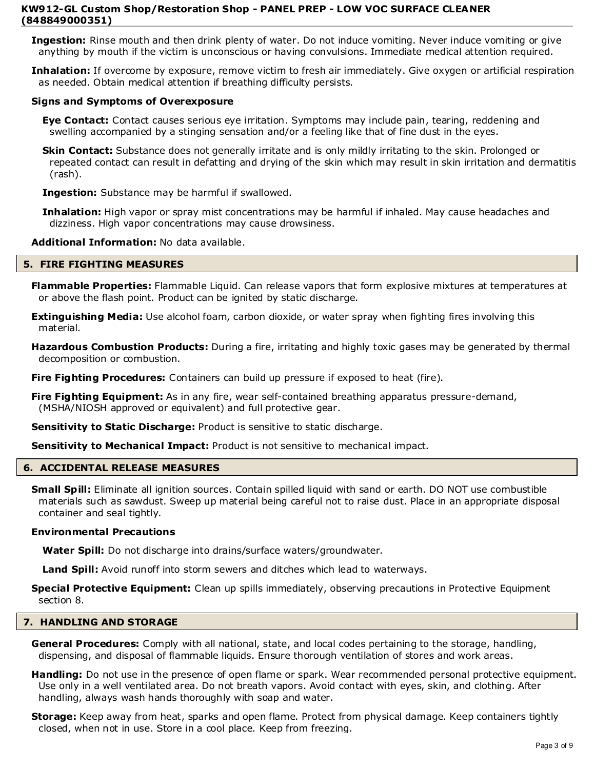**Ingestion:** Rinse mouth and then drink plenty of water. Do not induce vomiting. Never induce vomiting or give anything by mouth if the victim is unconscious or having convulsions. Immediate medical attention required.

**Inhalation:** If overcome by exposure, remove victim to fresh air immediately. Give oxygen or artificial respiration as needed. Obtain medical attention if breathing difficulty persists.

# **Signs and Symptoms of Overexposure**

**Eye Contact:** Contact causes serious eye irritation. Symptoms may include pain, tearing, reddening and swelling accompanied by a stinging sensation and/or a feeling like that of fine dust in the eyes.

**Skin Contact:** Substance does not generally irritate and is only mildly irritating to the skin. Prolonged or repeated contact can result in defatting and drying of the skin which may result in skin irritation and dermatitis (rash).

**Ingestion:** Substance may be harmful if swallowed.

**Inhalation:** High vapor or spray mist concentrations may be harmful if inhaled. May cause headaches and dizziness. High vapor concentrations may cause drowsiness.

# **Additional Information:** No data available.

## **5. FIRE FIGHTING MEASURES**

**Flammable Properties:** Flammable Liquid. Can release vapors that form explosive mixtures at temperatures at or above the flash point. Product can be ignited by static discharge.

**Extinguishing Media:** Use alcohol foam, carbon dioxide, or water spray when fighting fires involving this material.

**Hazardous Combustion Products:** During a fire, irritating and highly toxic gases may be generated by thermal decomposition or combustion.

**Fire Fighting Procedures:** Containers can build up pressure if exposed to heat (fire).

**Fire Fighting Equipment:** As in any fire, wear self-contained breathing apparatus pressure-demand, (MSHA/NIOSH approved or equivalent) and full protective gear.

**Sensitivity to Static Discharge:** Product is sensitive to static discharge.

**Sensitivity to Mechanical Impact:** Product is not sensitive to mechanical impact.

## **6. ACCIDENTAL RELEASE MEASURES**

**Small Spill:** Eliminate all ignition sources. Contain spilled liquid with sand or earth. DO NOT use combustible materials such as sawdust. Sweep up material being careful not to raise dust. Place in an appropriate disposal container and seal tightly.

## **Environmental Precautions**

**Water Spill:** Do not discharge into drains/surface waters/groundwater.

**Land Spill:** Avoid runoff into storm sewers and ditches which lead to waterways.

**Special Protective Equipment:** Clean up spills immediately, observing precautions in Protective Equipment section 8.

## **7. HANDLING AND STORAGE**

**General Procedures:** Comply with all national, state, and local codes pertaining to the storage, handling, dispensing, and disposal of flammable liquids. Ensure thorough ventilation of stores and work areas.

**Handling:** Do not use in the presence of open flame or spark. Wear recommended personal protective equipment. Use only in a well ventilated area. Do not breath vapors. Avoid contact with eyes, skin, and clothing. After handling, always wash hands thoroughly with soap and water.

**Storage:** Keep away from heat, sparks and open flame. Protect from physical damage. Keep containers tightly closed, when not in use. Store in a cool place. Keep from freezing.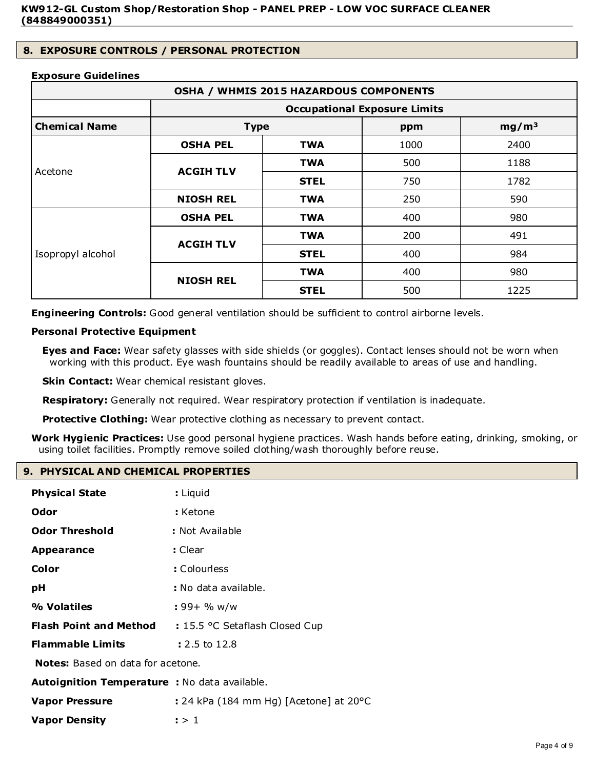# **8. EXPOSURE CONTROLS / PERSONAL PROTECTION**

# **Exposure Guidelines**

| OSHA / WHMIS 2015 HAZARDOUS COMPONENTS |                                               |             |      |                   |
|----------------------------------------|-----------------------------------------------|-------------|------|-------------------|
|                                        | <b>Occupational Exposure Limits</b>           |             |      |                   |
| <b>Chemical Name</b>                   | <b>Type</b>                                   |             | ppm  | mg/m <sup>3</sup> |
|                                        | <b>OSHA PEL</b>                               | <b>TWA</b>  | 1000 | 2400              |
| Acetone                                | <b>ACGIH TLV</b>                              | <b>TWA</b>  | 500  | 1188              |
|                                        |                                               | <b>STEL</b> | 750  | 1782              |
|                                        | <b>NIOSH REL</b>                              | <b>TWA</b>  | 250  | 590               |
|                                        | <b>OSHA PEL</b>                               | <b>TWA</b>  | 400  | 980               |
| Isopropyl alcohol                      | <b>ACGIH TLV</b>                              | <b>TWA</b>  | 200  | 491               |
|                                        |                                               | <b>STEL</b> | 400  | 984               |
|                                        | <b>TWA</b><br><b>NIOSH REL</b><br><b>STEL</b> |             | 400  | 980               |
|                                        |                                               | 500         | 1225 |                   |

**Engineering Controls:** Good general ventilation should be sufficient to control airborne levels.

# **Personal Protective Equipment**

**Eyes and Face:** Wear safety glasses with side shields (or goggles). Contact lenses should not be worn when working with this product. Eye wash fountains should be readily available to areas of use and handling.

**Skin Contact:** Wear chemical resistant gloves.

**Respiratory:** Generally not required. Wear respiratory protection if ventilation is inadequate.

**Protective Clothing:** Wear protective clothing as necessary to prevent contact.

**Work Hygienic Practices:** Use good personal hygiene practices. Wash hands before eating, drinking, smoking, or using toilet facilities. Promptly remove soiled clothing/wash thoroughly before reuse.

# **9. PHYSICAL AND CHEMICAL PROPERTIES**

| <b>Physical State</b>                         | : Liquid                                         |  |
|-----------------------------------------------|--------------------------------------------------|--|
| Odor                                          | : Ketone                                         |  |
| <b>Odor Threshold</b>                         | : Not Available                                  |  |
| <b>Appearance</b>                             | : Clear                                          |  |
| Color                                         | : Colourless                                     |  |
| рH                                            | : No data available.                             |  |
| % Volatiles                                   | : 99+ % w/w                                      |  |
| <b>Flash Point and Method</b>                 | : 15.5 °C Setaflash Closed Cup                   |  |
| <b>Flammable Limits</b>                       | : 2.5 to 12.8                                    |  |
| <b>Notes:</b> Based on data for acetone.      |                                                  |  |
| Autoignition Temperature : No data available. |                                                  |  |
| <b>Vapor Pressure</b>                         | : 24 kPa (184 mm Hg) [Acetone] at $20^{\circ}$ C |  |
| <b>Vapor Density</b>                          | : > 1                                            |  |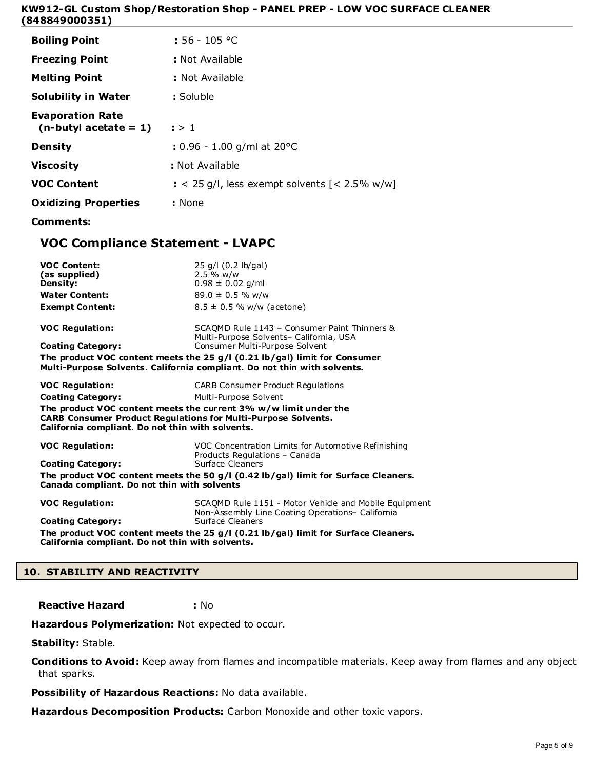| <b>Boiling Point</b>                                | $: 56 - 105$ °C                                             |
|-----------------------------------------------------|-------------------------------------------------------------|
| <b>Freezing Point</b>                               | : Not Available                                             |
| <b>Melting Point</b>                                | : Not Available                                             |
| <b>Solubility in Water</b>                          | : Soluble                                                   |
| <b>Evaporation Rate</b><br>$(n$ -butyl acetate = 1) | : > 1                                                       |
| <b>Density</b>                                      | : $0.96 - 1.00$ g/ml at $20^{\circ}$ C                      |
| <b>Viscosity</b>                                    | : Not Available                                             |
| <b>VOC Content</b>                                  | $\approx$ 25 g/l, less exempt solvents $\left[$ < 2.5% w/w] |
| <b>Oxidizing Properties</b>                         | : None                                                      |
| Comments:                                           |                                                             |

# **VOC Compliance Statement - LVAPC**

| <b>VOC Content:</b><br>(as supplied)<br><b>Density:</b><br><b>Water Content:</b>                                         | 25 g/l (0.2 lb/gal)<br>$2.5%$ w/w<br>$0.98 \pm 0.02$ g/ml<br>$89.0 \pm 0.5$ % w/w                                                                       |
|--------------------------------------------------------------------------------------------------------------------------|---------------------------------------------------------------------------------------------------------------------------------------------------------|
| <b>Exempt Content:</b>                                                                                                   | $8.5 \pm 0.5$ % w/w (acetone)                                                                                                                           |
| <b>VOC Regulation:</b>                                                                                                   | SCAOMD Rule 1143 - Consumer Paint Thinners &<br>Multi-Purpose Solvents- California, USA                                                                 |
| <b>Coating Category:</b>                                                                                                 | Consumer Multi-Purpose Solvent                                                                                                                          |
|                                                                                                                          | The product VOC content meets the 25 $g/l$ (0.21 lb/gal) limit for Consumer<br>Multi-Purpose Solvents. California compliant. Do not thin with solvents. |
| <b>VOC Regulation:</b>                                                                                                   | <b>CARB Consumer Product Requlations</b>                                                                                                                |
| <b>Coating Category:</b>                                                                                                 | Multi-Purpose Solvent                                                                                                                                   |
| <b>CARB Consumer Product Regulations for Multi-Purpose Solvents.</b><br>California compliant. Do not thin with solvents. | The product VOC content meets the current 3% w/w limit under the                                                                                        |
| <b>VOC Regulation:</b>                                                                                                   | VOC Concentration Limits for Automotive Refinishing<br>Products Regulations - Canada                                                                    |
| <b>Coating Category:</b>                                                                                                 | Surface Cleaners                                                                                                                                        |
| Canada compliant. Do not thin with solvents                                                                              | The product VOC content meets the 50 $g/I$ (0.42 lb/gal) limit for Surface Cleaners.                                                                    |
| <b>VOC Regulation:</b>                                                                                                   | SCAOMD Rule 1151 - Motor Vehicle and Mobile Equipment<br>Non-Assembly Line Coating Operations- California                                               |
| <b>Coating Category:</b>                                                                                                 | Surface Cleaners                                                                                                                                        |
| California compliant. Do not thin with solvents.                                                                         | The product VOC content meets the 25 $g/l$ (0.21 lb/gal) limit for Surface Cleaners.                                                                    |

# **10. STABILITY AND REACTIVITY**

**Reactive Hazard :** No

Hazardous Polymerization: Not expected to occur.

**Stability:** Stable.

**Conditions to Avoid:** Keep away from flames and incompatible materials. Keep away from flames and any object that sparks.

**Possibility of Hazardous Reactions:** No data available.

**Hazardous Decomposition Products:** Carbon Monoxide and other toxic vapors.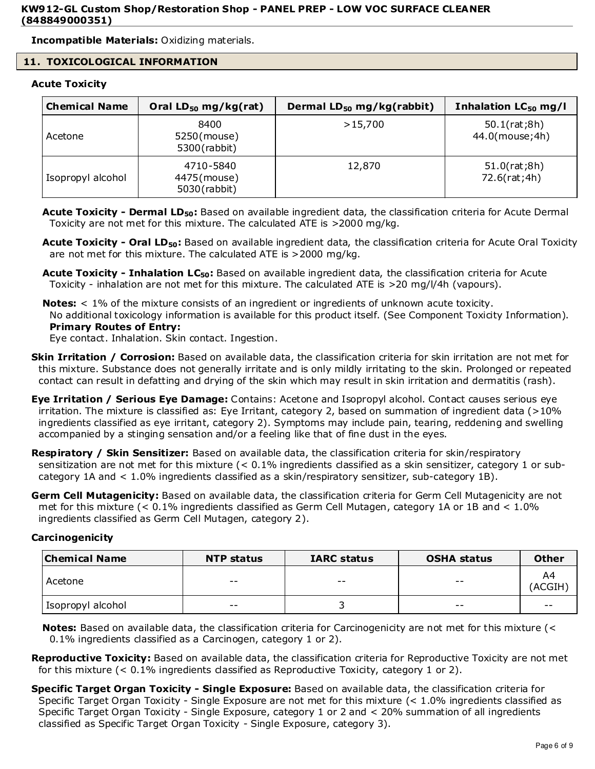**Incompatible Materials:** Oxidizing materials.

# **11. TOXICOLOGICAL INFORMATION**

# **Acute Toxicity**

| <b>Chemical Name</b> | Oral $LD_{50}$ mg/kg(rat)                | Dermal LD <sub>50</sub> mg/kg(rabbit) | Inhalation $LC_{50}$ mg/l      |
|----------------------|------------------------------------------|---------------------------------------|--------------------------------|
| Acetone              | 8400<br>5250(mouse)<br>5300(rabbit)      | >15,700                               | 50.1(rat;8h)<br>44.0(mouse;4h) |
| Isopropyl alcohol    | 4710-5840<br>4475(mouse)<br>5030(rabbit) | 12,870                                | 51.0(rat;8h)<br>72.6(rat;4h)   |

- **Acute Toxicity Dermal LD50:** Based on available ingredient data, the classification criteria for Acute Dermal Toxicity are not met for this mixture. The calculated ATE is >2000 mg/kg.
- **Acute Toxicity Oral LD50:** Based on available ingredient data, the classification criteria for Acute Oral Toxicity are not met for this mixture. The calculated ATE is >2000 mg/kg.
- **Acute Toxicity Inhalation LC50:** Based on available ingredient data, the classification criteria for Acute Toxicity - inhalation are not met for this mixture. The calculated ATE is >20 mg/l/4h (vapours).
- **Notes:** < 1% of the mixture consists of an ingredient or ingredients of unknown acute toxicity. No additional toxicology information is available for this product itself. (See Component Toxicity Information). **Primary Routes of Entry:**

Eye contact. Inhalation. Skin contact. Ingestion.

- **Skin Irritation / Corrosion:** Based on available data, the classification criteria for skin irritation are not met for this mixture. Substance does not generally irritate and is only mildly irritating to the skin. Prolonged or repeated contact can result in defatting and drying of the skin which may result in skin irritation and dermatitis (rash).
- **Eye Irritation / Serious Eye Damage:** Contains: Acetone and Isopropyl alcohol. Contact causes serious eye irritation. The mixture is classified as: Eye Irritant, category 2, based on summation of ingredient data (>10% ingredients classified as eye irritant, category 2). Symptoms may include pain, tearing, reddening and swelling accompanied by a stinging sensation and/or a feeling like that of fine dust in the eyes.
- **Respiratory / Skin Sensitizer:** Based on available data, the classification criteria for skin/respiratory sensitization are not met for this mixture (< 0.1% ingredients classified as a skin sensitizer, category 1 or subcategory 1A and < 1.0% ingredients classified as a skin/respiratory sensitizer, sub-category 1B).
- **Germ Cell Mutagenicity:** Based on available data, the classification criteria for Germ Cell Mutagenicity are not met for this mixture (< 0.1% ingredients classified as Germ Cell Mutagen, category 1A or 1B and < 1.0% ingredients classified as Germ Cell Mutagen, category 2).

# **Carcinogenicity**

| <b>Chemical Name</b><br><b>IARC status</b><br><b>NTP status</b> |       |       | <b>OSHA status</b> | <b>Other</b> |
|-----------------------------------------------------------------|-------|-------|--------------------|--------------|
| Acetone                                                         | $- -$ | $- -$ | $ -$               | A4<br>(ACGIH |
| Isopropyl alcohol                                               | $- -$ |       | $ -$               | $- -$        |

**Notes:** Based on available data, the classification criteria for Carcinogenicity are not met for this mixture (< 0.1% ingredients classified as a Carcinogen, category 1 or 2).

- **Reproductive Toxicity:** Based on available data, the classification criteria for Reproductive Toxicity are not met for this mixture  $\left($  < 0.1% ingredients classified as Reproductive Toxicity, category 1 or 2).
- **Specific Target Organ Toxicity Single Exposure:** Based on available data, the classification criteria for Specific Target Organ Toxicity - Single Exposure are not met for this mixture (< 1.0% ingredients classified as Specific Target Organ Toxicity - Single Exposure, category 1 or 2 and < 20% summation of all ingredients classified as Specific Target Organ Toxicity - Single Exposure, category 3).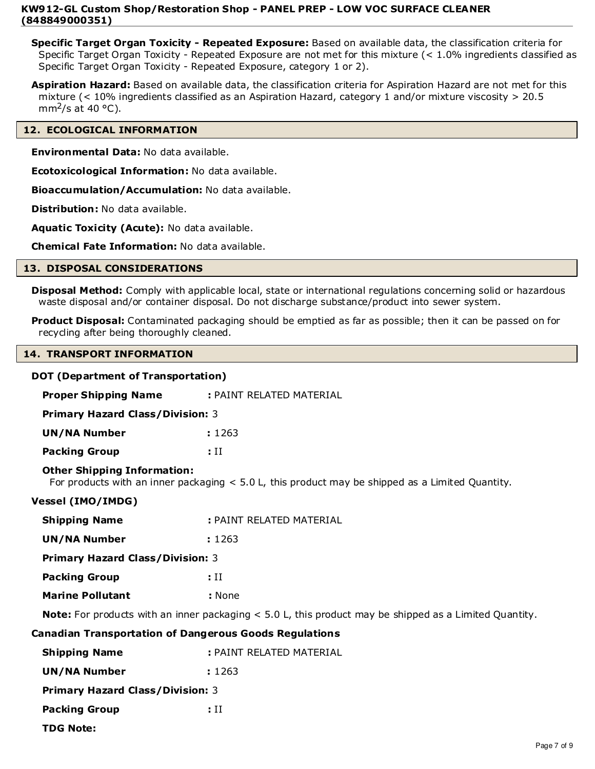**Specific Target Organ Toxicity - Repeated Exposure:** Based on available data, the classification criteria for Specific Target Organ Toxicity - Repeated Exposure are not met for this mixture (< 1.0% ingredients classified as Specific Target Organ Toxicity - Repeated Exposure, category 1 or 2).

**Aspiration Hazard:** Based on available data, the classification criteria for Aspiration Hazard are not met for this mixture (< 10% ingredients classified as an Aspiration Hazard, category 1 and/or mixture viscosity > 20.5 mm<sup>2</sup>/s at 40  $\degree$ C).

# **12. ECOLOGICAL INFORMATION**

**Environmental Data:** No data available.

**Ecotoxicological Information:** No data available.

**Bioaccumulation/Accumulation:** No data available.

**Distribution:** No data available.

**Aquatic Toxicity (Acute):** No data available.

**Chemical Fate Information:** No data available.

# **13. DISPOSAL CONSIDERATIONS**

**Disposal Method:** Comply with applicable local, state or international regulations concerning solid or hazardous waste disposal and/or container disposal. Do not discharge substance/product into sewer system.

**Product Disposal:** Contaminated packaging should be emptied as far as possible; then it can be passed on for recycling after being thoroughly cleaned.

## **14. TRANSPORT INFORMATION**

# **DOT (Department of Transportation)**

| <b>Proper Shipping Name</b>                                   | : PAINT RELATED MATERIAL                                                                                      |
|---------------------------------------------------------------|---------------------------------------------------------------------------------------------------------------|
| <b>Primary Hazard Class/Division: 3</b>                       |                                                                                                               |
| <b>UN/NA Number</b>                                           | : 1263                                                                                                        |
| <b>Packing Group</b>                                          | $:$ II                                                                                                        |
| <b>Other Shipping Information:</b>                            | For products with an inner packaging $< 5.0$ L, this product may be shipped as a Limited Quantity.            |
| <b>Vessel (IMO/IMDG)</b>                                      |                                                                                                               |
| <b>Shipping Name</b>                                          | : PAINT RELATED MATERIAL                                                                                      |
| <b>UN/NA Number</b>                                           | : 1263                                                                                                        |
| <b>Primary Hazard Class/Division: 3</b>                       |                                                                                                               |
| <b>Packing Group</b>                                          | $:$ II                                                                                                        |
| <b>Marine Pollutant</b>                                       | : None                                                                                                        |
|                                                               | <b>Note:</b> For products with an inner packaging < 5.0 L, this product may be shipped as a Limited Quantity. |
| <b>Canadian Transportation of Dangerous Goods Regulations</b> |                                                                                                               |
| <b>Shipping Name</b>                                          | : PAINT RELATED MATERIAL                                                                                      |
| <b>UN/NA Number</b>                                           | : 1263                                                                                                        |
| <b>Primary Hazard Class/Division: 3</b>                       |                                                                                                               |
| <b>Packing Group</b>                                          | $:$ II                                                                                                        |
| <b>TDG Note:</b>                                              |                                                                                                               |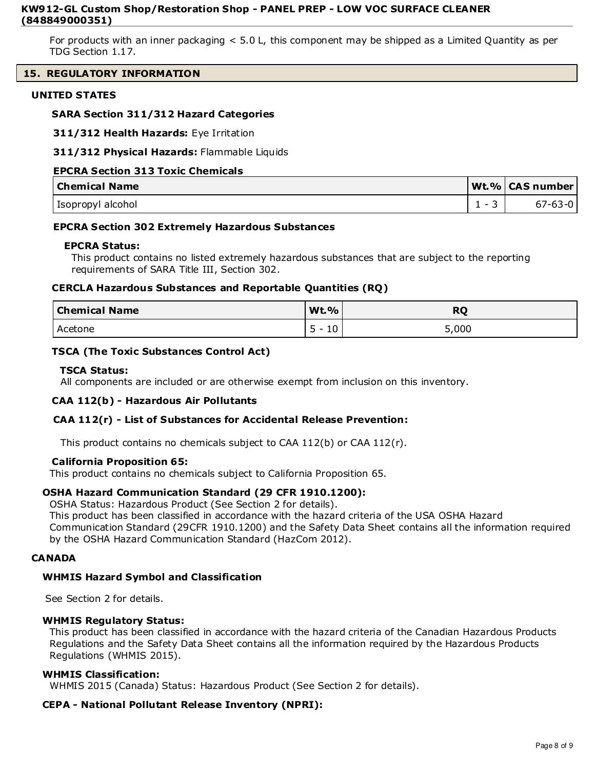For products with an inner packaging < 5.0 L, this component may be shipped as a Limited Quantity as per TDG Section 1.17.

# **15. REGULATORY INFORMATION**

# **UNITED STATES**

# **SARA Section 311/312 Hazard Categories**

**311/312 Health Hazards:** Eye Irritation

**311/312 Physical Hazards:** Flammable Liquids

# **EPCRA Section 313 Toxic Chemicals**

| <b>Chemical Name</b> |                               | Wt.%   CAS number |
|----------------------|-------------------------------|-------------------|
| Isopropyl alcohol    | $\overline{\phantom{a}}$<br>- | $67 - 63 - 0$     |

# **EPCRA Section 302 Extremely Hazardous Substances**

## **EPCRA Status:**

This product contains no listed extremely hazardous substances that are subject to the reporting requirements of SARA Title III, Section 302.

# **CERCLA Hazardous Substances and Reportable Quantities (RQ)**

| <b>Chemical Name</b> | <b>Wt.%</b>                                        | <b>RQ</b> |
|----------------------|----------------------------------------------------|-----------|
| Acetone              | -<br>$1^{\circ}$<br>τn<br>$\overline{\phantom{0}}$ | 5,000     |

# **TSCA (The Toxic Substances Control Act)**

## **TSCA Status:**

All components are included or are otherwise exempt from inclusion on this inventory.

# **CAA 112(b) - Hazardous Air Pollutants**

# **CAA 112(r) - List of Substances for Accidental Release Prevention:**

This product contains no chemicals subject to CAA 112(b) or CAA 112(r).

## **California Proposition 65:**

This product contains no chemicals subject to California Proposition 65.

# **OSHA Hazard Communication Standard (29 CFR 1910.1200):**

OSHA Status: Hazardous Product (See Section 2 for details).

This product has been classified in accordance with the hazard criteria of the USA OSHA Hazard

Communication Standard (29CFR 1910.1200) and the Safety Data Sheet contains all the information required by the OSHA Hazard Communication Standard (HazCom 2012).

## **CANADA**

## **WHMIS Hazard Symbol and Classification**

See Section 2 for details.

# **WHMIS Regulatory Status:**

This product has been classified in accordance with the hazard criteria of the Canadian Hazardous Products Regulations and the Safety Data Sheet contains all the information required by the Hazardous Products Regulations (WHMIS 2015).

## **WHMIS Classification:**

WHMIS 2015 (Canada) Status: Hazardous Product (See Section 2 for details).

# **CEPA - National Pollutant Release Inventory (NPRI):**